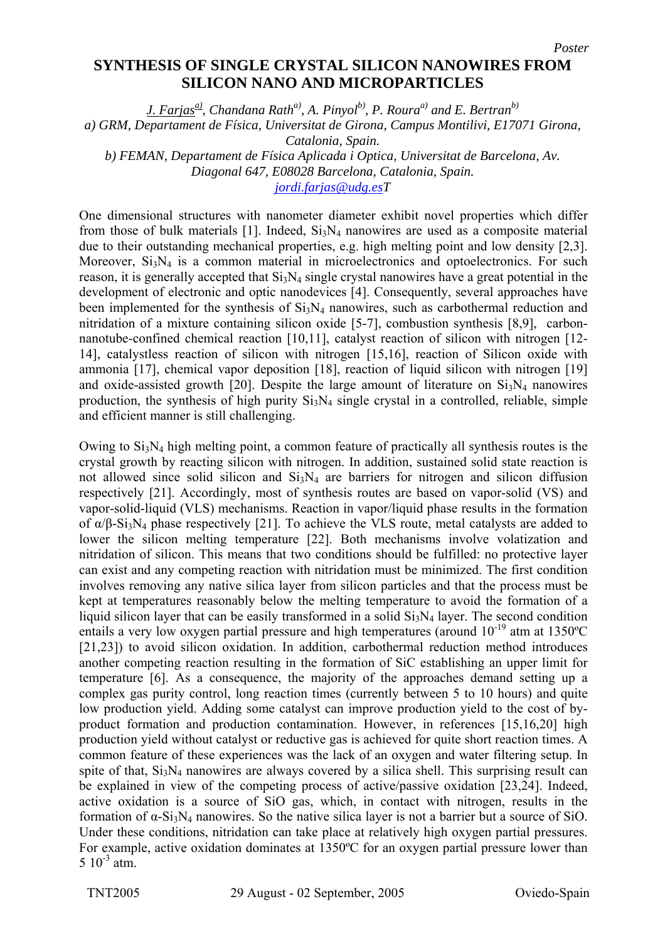## **SYNTHESIS OF SINGLE CRYSTAL SILICON NANOWIRES FROM SILICON NANO AND MICROPARTICLES**

*J. Farjas<sup>a</sup>, Chandana Rath<sup>a)</sup>, A. Pinyol<sup>b)</sup>, P. Roura<sup>a)</sup> and E. Bertran<sup>b)</sup> a) GRM, Departament de Física, Universitat de Girona, Campus Montilivi, E17071 Girona, Catalonia, Spain. b) FEMAN, Departament de Física Aplicada i Optica, Universitat de Barcelona, Av. Diagonal 647, E08028 Barcelona, Catalonia, Spain.* 

*[jordi.farjas@udg.esT](mailto:jordi.farjas@udg.es)*

One dimensional structures with nanometer diameter exhibit novel properties which differ from those of bulk materials [1]. Indeed,  $Si<sub>3</sub>N<sub>4</sub>$  nanowires are used as a composite material due to their outstanding mechanical properties, e.g. high melting point and low density [2,3]. Moreover,  $Si<sub>3</sub>N<sub>4</sub>$  is a common material in microelectronics and optoelectronics. For such reason, it is generally accepted that  $Si<sub>3</sub>N<sub>4</sub>$  single crystal nanowires have a great potential in the development of electronic and optic nanodevices [4]. Consequently, several approaches have been implemented for the synthesis of  $Si<sub>3</sub>N<sub>4</sub>$  nanowires, such as carbothermal reduction and nitridation of a mixture containing silicon oxide [5-7], combustion synthesis [8,9], carbonnanotube-confined chemical reaction [10,11], catalyst reaction of silicon with nitrogen [12- 14], catalystless reaction of silicon with nitrogen [15,16], reaction of Silicon oxide with ammonia [17], chemical vapor deposition [18], reaction of liquid silicon with nitrogen [19] and oxide-assisted growth  $\overline{[20]}$ . Despite the large amount of literature on Si<sub>3</sub>N<sub>4</sub> nanowires production, the synthesis of high purity  $Si<sub>3</sub>N<sub>4</sub>$  single crystal in a controlled, reliable, simple and efficient manner is still challenging.

Owing to  $Si_3N_4$  high melting point, a common feature of practically all synthesis routes is the crystal growth by reacting silicon with nitrogen. In addition, sustained solid state reaction is not allowed since solid silicon and  $Si<sub>3</sub>N<sub>4</sub>$  are barriers for nitrogen and silicon diffusion respectively [21]. Accordingly, most of synthesis routes are based on vapor-solid (VS) and vapor-solid-liquid (VLS) mechanisms. Reaction in vapor/liquid phase results in the formation of  $\alpha/\beta$ -Si<sub>3</sub>N<sub>4</sub> phase respectively [21]. To achieve the VLS route, metal catalysts are added to lower the silicon melting temperature [22]. Both mechanisms involve volatization and nitridation of silicon. This means that two conditions should be fulfilled: no protective layer can exist and any competing reaction with nitridation must be minimized. The first condition involves removing any native silica layer from silicon particles and that the process must be kept at temperatures reasonably below the melting temperature to avoid the formation of a liquid silicon layer that can be easily transformed in a solid  $Si<sub>3</sub>N<sub>4</sub>$  layer. The second condition entails a very low oxygen partial pressure and high temperatures (around  $10^{-19}$  atm at 1350°C [21,23]) to avoid silicon oxidation. In addition, carbothermal reduction method introduces another competing reaction resulting in the formation of SiC establishing an upper limit for temperature [6]. As a consequence, the majority of the approaches demand setting up a complex gas purity control, long reaction times (currently between 5 to 10 hours) and quite low production yield. Adding some catalyst can improve production yield to the cost of byproduct formation and production contamination. However, in references [15,16,20] high production yield without catalyst or reductive gas is achieved for quite short reaction times. A common feature of these experiences was the lack of an oxygen and water filtering setup. In spite of that,  $Si<sub>3</sub>N<sub>4</sub>$  nanowires are always covered by a silica shell. This surprising result can be explained in view of the competing process of active/passive oxidation [23,24]. Indeed, active oxidation is a source of SiO gas, which, in contact with nitrogen, results in the formation of α-Si3N4 nanowires. So the native silica layer is not a barrier but a source of SiO. Under these conditions, nitridation can take place at relatively high oxygen partial pressures. For example, active oxidation dominates at 1350ºC for an oxygen partial pressure lower than  $5 \times 10^{-3}$  atm.